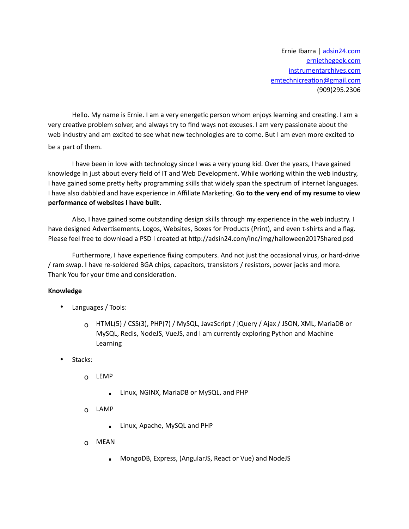Ernie Ibarra | adsin24.com [erniethegeek.com](mailto:emtechnicreation@gmail.com) instrumentarchives.com emtechnicreation@gmail.com (909)295.2306

Hello. My name is Ernie. I am a very energetic person whom enjoys learning and creating. I am a very creative problem solver, and always try to find ways not excuses. I am very passionate about the web industry and am excited to see what new technologies are to come. But I am even more excited to be a part of them.

I have been in love with technology since I was a very young kid. Over the years, I have gained knowledge in just about every field of IT and Web Development. While working within the web industry, I have gained some pretty hefty programming skills that widely span the spectrum of internet languages. I have also dabbled and have experience in Affiliate Marketing. Go to the very end of my resume to view **performance of websites I have built.** 

Also, I have gained some outstanding design skills through my experience in the web industry. I have designed Advertisements, Logos, Websites, Boxes for Products (Print), and even t-shirts and a flag. Please feel free to download a PSD I created at http://adsin24.com/inc/img/halloween2017Shared.psd

Furthermore, I have experience fixing computers. And not just the occasional virus, or hard-drive / ram swap. I have re-soldered BGA chips, capacitors, transistors / resistors, power jacks and more. Thank You for your time and consideration.

## **Knowledge**

- Languages / Tools:
	- o HTML(5) / CSS(3), PHP(7) / MySQL, JavaScript / jQuery / Ajax / JSON, XML, MariaDB or MySQL, Redis, NodeJS, VueJS, and I am currently exploring Python and Machine Learning
- Stacks:
	- o LEMP
		- Linux, NGINX, MariaDB or MySQL, and PHP
	- o LAMP
		- **E** Linux, Apache, MySQL and PHP
	- o MEAN
		- MongoDB, Express, (AngularJS, React or Vue) and NodeJS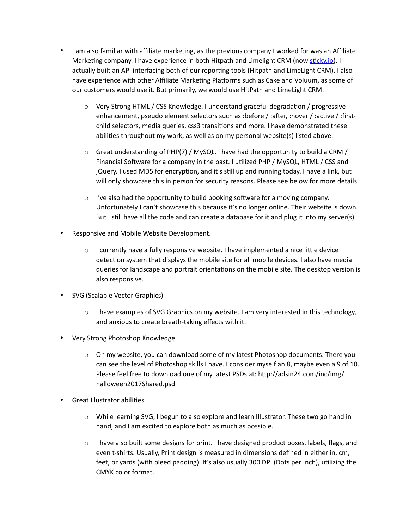- I am also familiar with affiliate marketing, as the previous company I worked for was an Affiliate Marketing company. I have experience in both Hitpath and Limelight CRM (now sticky.io). I actually built an API interfacing both of our reporting tools (Hitpath and LimeLight CRM). I also have experience with other Affiliate Marketing Platforms such as Cake and Voluum, as some of our customers would use it. But primarily, we would use HitPath and LimeLight CRM.
	- $\circ$  Very Strong HTML / CSS Knowledge. I understand graceful degradation / progressive enhancement, pseudo element selectors such as :before / :after, :hover / :active / :firstchild selectors, media queries, css3 transitions and more. I have demonstrated these abilities throughout my work, as well as on my personal website(s) listed above.
	- $\circ$  Great understanding of PHP(7) / MySQL. I have had the opportunity to build a CRM / Financial Software for a company in the past. I utilized PHP / MySQL, HTML / CSS and jQuery. I used MD5 for encryption, and it's still up and running today. I have a link, but will only showcase this in person for security reasons. Please see below for more details.
	- $\circ$  I've also had the opportunity to build booking software for a moving company. Unfortunately I can't showcase this because it's no longer online. Their website is down. But I still have all the code and can create a database for it and plug it into my server(s).
- Responsive and Mobile Website Development.
	- $\circ$  I currently have a fully responsive website. I have implemented a nice little device detection system that displays the mobile site for all mobile devices. I also have media queries for landscape and portrait orientations on the mobile site. The desktop version is also responsive.
- SVG (Scalable Vector Graphics)
	- $\circ$  I have examples of SVG Graphics on my website. I am very interested in this technology, and anxious to create breath-taking effects with it.
- Very Strong Photoshop Knowledge
	- $\circ$  On my website, you can download some of my latest Photoshop documents. There you can see the level of Photoshop skills I have. I consider myself an 8, maybe even a 9 of 10. Please feel free to download one of my latest PSDs at: http://adsin24.com/inc/img/ halloween2017Shared.psd
- **Great Illustrator abilities.** 
	- o While learning SVG, I begun to also explore and learn Illustrator. These two go hand in hand, and I am excited to explore both as much as possible.
	- $\circ$  I have also built some designs for print. I have designed product boxes, labels, flags, and even t-shirts. Usually, Print design is measured in dimensions defined in either in, cm, feet, or yards (with bleed padding). It's also usually 300 DPI (Dots per Inch), utilizing the CMYK color format.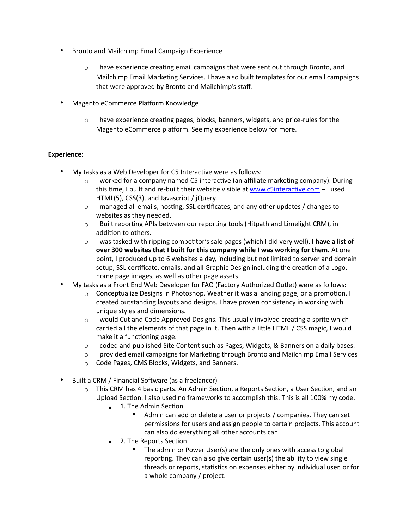- Bronto and Mailchimp Email Campaign Experience
	- $\circ$  I have experience creating email campaigns that were sent out through Bronto, and Mailchimp Email Marketing Services. I have also built templates for our email campaigns that were approved by Bronto and Mailchimp's staff.
- Magento eCommerce Platform Knowledge
	- $\circ$  I have experience creating pages, blocks, banners, widgets, and price-rules for the Magento eCommerce platform. See my experience below for more.

## **Experience:**

- My tasks as a Web Developer for C5 Interactive were as follows:
	- $\circ$  I worked for a company named C5 interactive (an affiliate marketing company). During this time, I built and re-built their website visible at www.c5interactive.com – I used HTML(5), CSS(3), and Javascript / jQuery.
	- $\circ$  I managed all emails, hosting, SSL certificates, and any other updates / changes to websites as they needed.
	- $\circ$  I Built reporting APIs between our reporting tools (Hitpath and Limelight CRM), in addition to others.
	- $\circ$  I was tasked with ripping competitor's sale pages (which I did very well). **I have a list of over 300 websites that I built for this company while I was working for them.** At one point, I produced up to 6 websites a day, including but not limited to server and domain setup, SSL certificate, emails, and all Graphic Design including the creation of a Logo, home page images, as well as other page assets.
- My tasks as a Front End Web Developer for FAO (Factory Authorized Outlet) were as follows:
	- $\circ$  Conceptualize Designs in Photoshop. Weather it was a landing page, or a promotion, I created outstanding layouts and designs. I have proven consistency in working with unique styles and dimensions.
	- $\circ$  I would Cut and Code Approved Designs. This usually involved creating a sprite which carried all the elements of that page in it. Then with a little HTML / CSS magic, I would make it a functioning page.
	- $\circ$  I coded and published Site Content such as Pages, Widgets, & Banners on a daily bases.
	- $\circ$  I provided email campaigns for Marketing through Bronto and Mailchimp Email Services
	- o Code Pages, CMS Blocks, Widgets, and Banners.
- Built a CRM / Financial Software (as a freelancer)
	- $\circ$  This CRM has 4 basic parts. An Admin Section, a Reports Section, a User Section, and an Upload Section. I also used no frameworks to accomplish this. This is all 100% my code.
		- $\blacksquare$  1. The Admin Section
			- Admin can add or delete a user or projects / companies. They can set permissions for users and assign people to certain projects. This account can also do everything all other accounts can.
		- 2. The Reports Section
			- The admin or Power User(s) are the only ones with access to global reporting. They can also give certain user(s) the ability to view single threads or reports, statistics on expenses either by individual user, or for a whole company / project.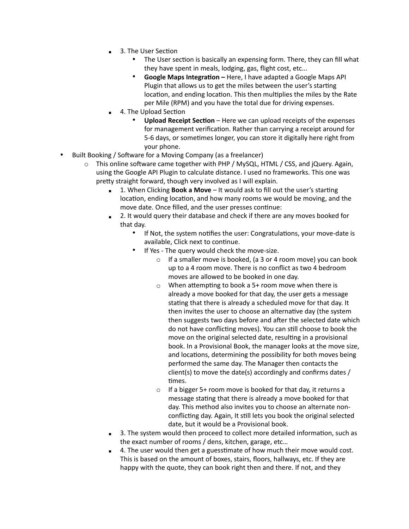- 3. The User Section
	- The User section is basically an expensing form. There, they can fill what they have spent in meals, lodging, gas, flight cost, etc...
	- Google Maps Integration Here, I have adapted a Google Maps API Plugin that allows us to get the miles between the user's starting location, and ending location. This then multiplies the miles by the Rate per Mile (RPM) and you have the total due for driving expenses.
- 4. The Upload Section
	- Upload Receipt Section Here we can upload receipts of the expenses for management verification. Rather than carrying a receipt around for 5-6 days, or sometimes longer, you can store it digitally here right from your phone.
- Built Booking / Software for a Moving Company (as a freelancer)
	- $\circ$  This online software came together with PHP / MySQL, HTML / CSS, and jQuery. Again, using the Google API Plugin to calculate distance. I used no frameworks. This one was pretty straight forward, though very involved as I will explain.
		- 1. When Clicking **Book a Move** It would ask to fill out the user's starting location, ending location, and how many rooms we would be moving, and the move date. Once filled, and the user presses continue:
		- 2. It would query their database and check if there are any moves booked for that day.
			- If Not, the system notifies the user: Congratulations, your move-date is available, Click next to continue.
			- If Yes The query would check the move-size.
				- o If a smaller move is booked, (a 3 or 4 room move) you can book up to a 4 room move. There is no conflict as two 4 bedroom moves are allowed to be booked in one day.
				- $\circ$  When attempting to book a 5+ room move when there is already a move booked for that day, the user gets a message stating that there is already a scheduled move for that day. It then invites the user to choose an alternative day (the system then suggests two days before and after the selected date which do not have conflicting moves). You can still choose to book the move on the original selected date, resulting in a provisional book. In a Provisional Book, the manager looks at the move size, and locations, determining the possibility for both moves being performed the same day. The Manager then contacts the client(s) to move the date(s) accordingly and confirms dates / times.
				- o If a bigger 5+ room move is booked for that day, it returns a message stating that there is already a move booked for that day. This method also invites you to choose an alternate nonconflicting day. Again, It still lets you book the original selected date, but it would be a Provisional book.
		- 3. The system would then proceed to collect more detailed information, such as the exact number of rooms / dens, kitchen, garage, etc…
		- 4. The user would then get a guesstimate of how much their move would cost. This is based on the amount of boxes, stairs, floors, hallways, etc. If they are happy with the quote, they can book right then and there. If not, and they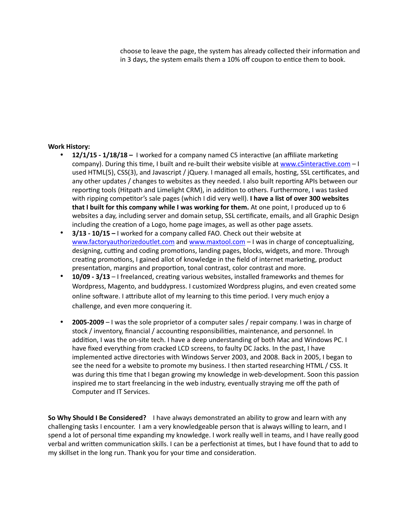choose to leave the page, the system has already collected their information and in 3 days, the system emails them a 10% off coupon to entice them to book.

## **Work History:**

- **12/1/15 1/18/18 -** I worked for a company named C5 interactive (an affiliate marketing company). During this time, I built and re-built their website visible at www.c5interactive.com  $-1$ used HTML(5), CSS(3), and Javascript / jQuery. I managed all emails, hosting, SSL certificates, and any other updates / changes to websites as they needed. I also built reporting APIs between our reporting tools (Hitpath and Limelight CRM), in addition to others. Furthermore, I was tasked with ripping competitor's sale pages (which I did very well). I have a list of over 300 websites **that I built for this company while I was working for them.** At one point, I produced up to 6 websites a day, including server and domain setup, SSL certificate, emails, and all Graphic Design including the creation of a Logo, home page images, as well as other page assets.
- **3/13 10/15** I worked for a company called FAO. Check out their website at [www.factoryauthorizedoutlet.com](http://www.factoryauthorizedoutlet.com) and [www.maxtool.com](http://www.maxtool.com) – I was in charge of conceptualizing, designing, cutting and coding promotions, landing pages, blocks, widgets, and more. Through creating promotions, I gained allot of knowledge in the field of internet marketing, product presentation, margins and proportion, tonal contrast, color contrast and more.
- **10/09 3/13** I freelanced, creating various websites, installed frameworks and themes for Wordpress, Magento, and buddypress. I customized Wordpress plugins, and even created some online software. I attribute allot of my learning to this time period. I very much enjoy a challenge, and even more conquering it.
- **2005-2009** I was the sole proprietor of a computer sales / repair company. I was in charge of stock / inventory, financial / accounting responsibilities, maintenance, and personnel. In addition, I was the on-site tech. I have a deep understanding of both Mac and Windows PC. I have fixed everything from cracked LCD screens, to faulty DC Jacks. In the past, I have implemented active directories with Windows Server 2003, and 2008. Back in 2005, I began to see the need for a website to promote my business. I then started researching HTML / CSS. It was during this time that I began growing my knowledge in web-development. Soon this passion inspired me to start freelancing in the web industry, eventually straying me off the path of Computer and IT Services.

**So Why Should I Be Considered?** I have always demonstrated an ability to grow and learn with any challenging tasks I encounter. I am a very knowledgeable person that is always willing to learn, and I spend a lot of personal time expanding my knowledge. I work really well in teams, and I have really good verbal and written communication skills. I can be a perfectionist at times, but I have found that to add to my skillset in the long run. Thank you for your time and consideration.